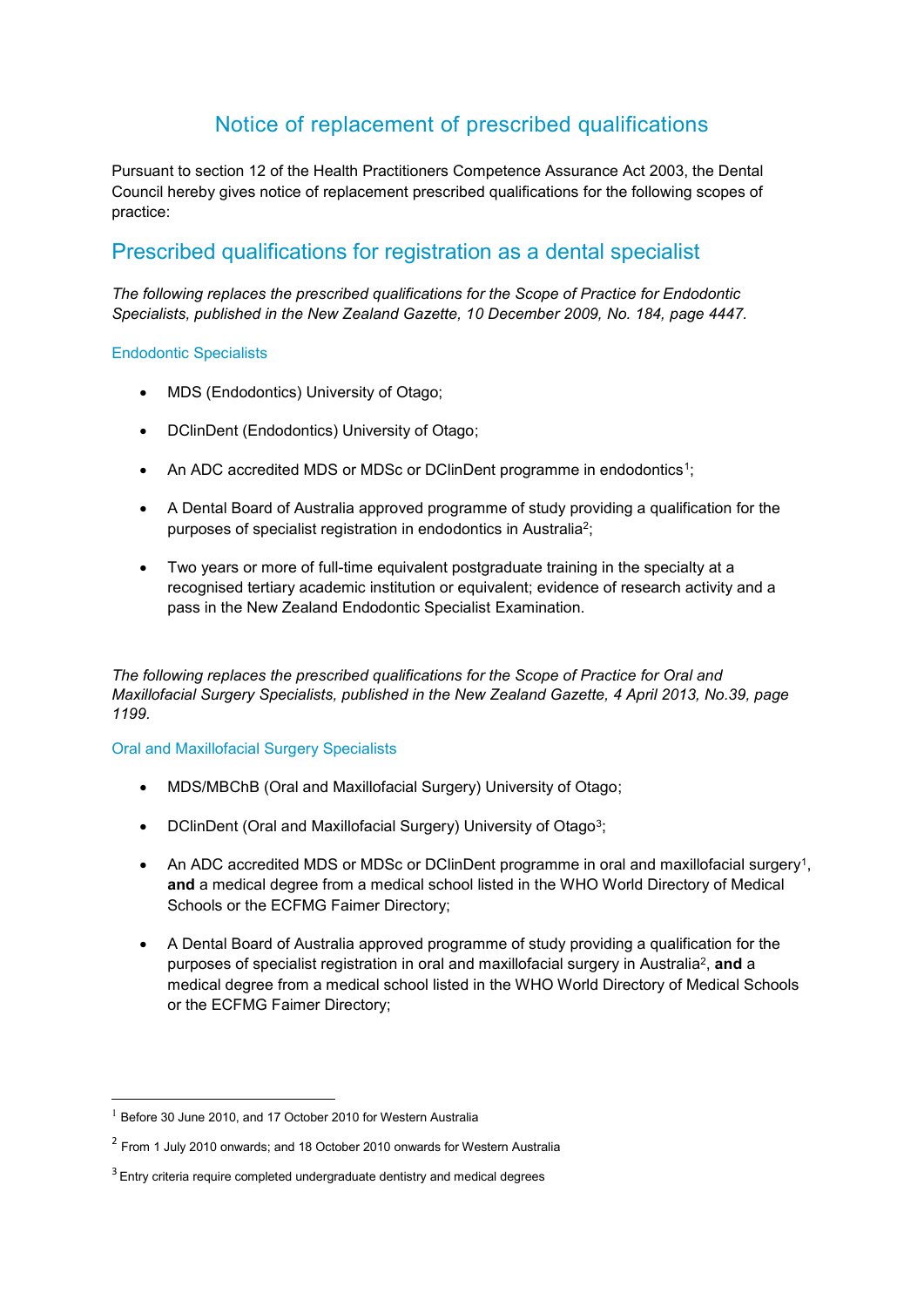# Notice of replacement of prescribed qualifications

Pursuant to section 12 of the Health Practitioners Competence Assurance Act 2003, the Dental Council hereby gives notice of replacement prescribed qualifications for the following scopes of practice:

# Prescribed qualifications for registration as a dental specialist

*The following replaces the prescribed qualifications for the Scope of Practice for Endodontic Specialists, published in the New Zealand Gazette, 10 December 2009, No. 184, page 4447.*

#### Endodontic Specialists

- MDS (Endodontics) University of Otago;
- DClinDent (Endodontics) University of Otago;
- An ADC accredited MDS or MDSc or DClinDent programme in endodontics<sup>1</sup>;
- A Dental Board of Australia approved programme of study providing a qualification for the purposes of specialist registration in endodontics in Australia<sup>2</sup>;
- Two years or more of full-time equivalent postgraduate training in the specialty at a recognised tertiary academic institution or equivalent; evidence of research activity and a pass in the New Zealand Endodontic Specialist Examination.

*The following replaces the prescribed qualifications for the Scope of Practice for Oral and Maxillofacial Surgery Specialists, published in the New Zealand Gazette, 4 April 2013, No.39, page 1199.*

#### Oral and Maxillofacial Surgery Specialists

- MDS/MBChB (Oral and Maxillofacial Surgery) University of Otago;
- DClinDent (Oral and Maxillofacial Surgery) University of Otago<sup>3</sup>;
- An ADC accredited MDS or MDSc or DClinDent programme in oral and maxillofacial surgery<sup>1</sup>, **and** a medical degree from a medical school listed in the WHO World Directory of Medical Schools or the ECFMG Faimer Directory;
- A Dental Board of Australia approved programme of study providing a qualification for the purposes of specialist registration in oral and maxillofacial surgery in Australia<sup>2</sup>, and a medical degree from a medical school listed in the WHO World Directory of Medical Schools or the ECFMG Faimer Directory;

 $1$  Before 30 June 2010, and 17 October 2010 for Western Australia

<sup>&</sup>lt;sup>2</sup> From 1 July 2010 onwards; and 18 October 2010 onwards for Western Australia

 $3$  Entry criteria require completed undergraduate dentistry and medical degrees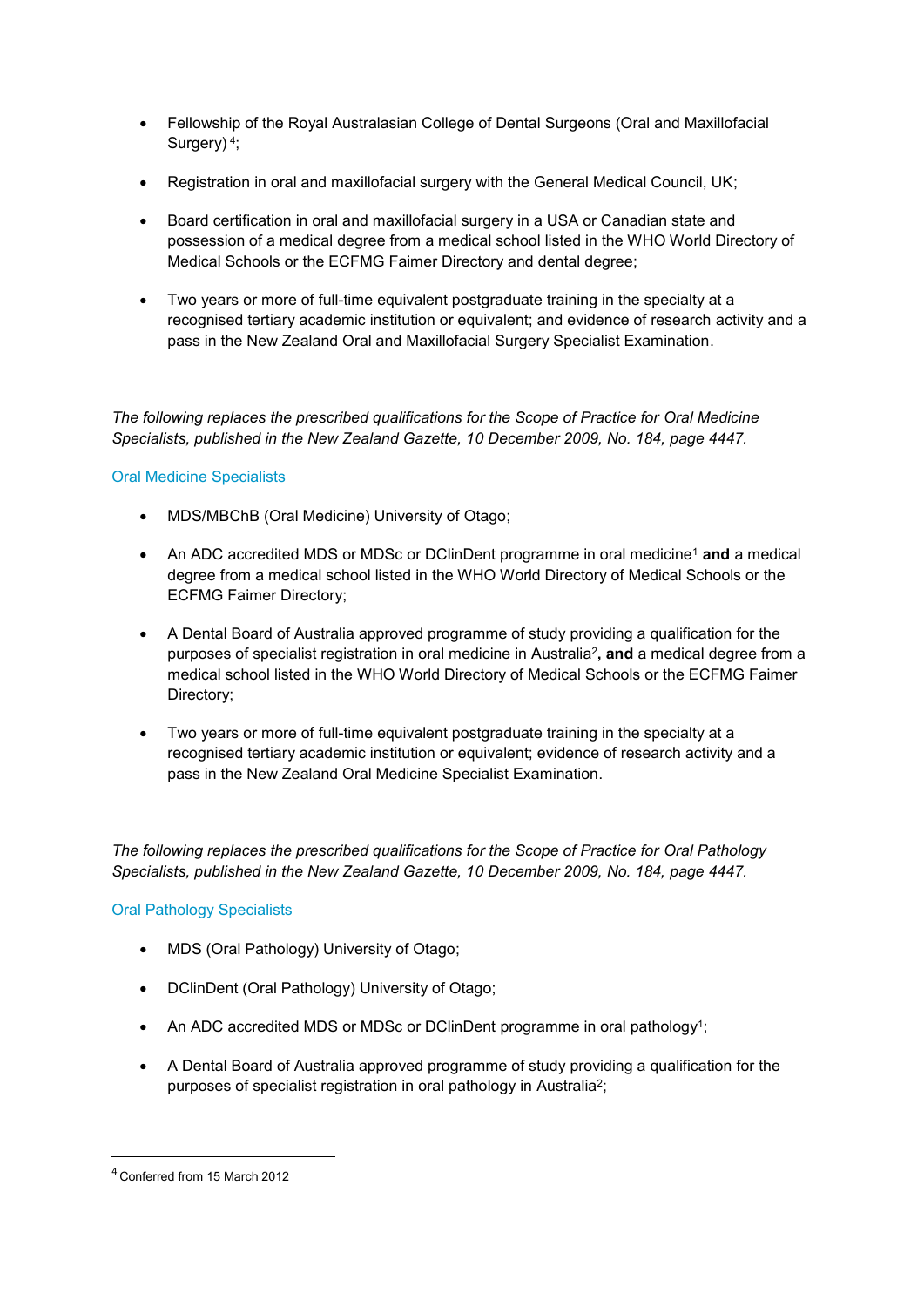- Fellowship of the Royal Australasian College of Dental Surgeons (Oral and Maxillofacial Surgery)<sup>4</sup>;
- Registration in oral and maxillofacial surgery with the General Medical Council, UK;
- Board certification in oral and maxillofacial surgery in a USA or Canadian state and possession of a medical degree from a medical school listed in the WHO World Directory of Medical Schools or the ECFMG Faimer Directory and dental degree;
- Two years or more of full-time equivalent postgraduate training in the specialty at a recognised tertiary academic institution or equivalent; and evidence of research activity and a pass in the New Zealand Oral and Maxillofacial Surgery Specialist Examination.

*The following replaces the prescribed qualifications for the Scope of Practice for Oral Medicine Specialists, published in the New Zealand Gazette, 10 December 2009, No. 184, page 4447.*

## Oral Medicine Specialists

- MDS/MBChB (Oral Medicine) University of Otago;
- An ADC accredited MDS or MDSc or DClinDent programme in oral medicine<sup>1</sup> **and** a medical degree from a medical school listed in the WHO World Directory of Medical Schools or the ECFMG Faimer Directory;
- A Dental Board of Australia approved programme of study providing a qualification for the purposes of specialist registration in oral medicine in Australia<sup>2</sup> **, and** a medical degree from a medical school listed in the WHO World Directory of Medical Schools or the ECFMG Faimer Directory;
- Two years or more of full-time equivalent postgraduate training in the specialty at a recognised tertiary academic institution or equivalent; evidence of research activity and a pass in the New Zealand Oral Medicine Specialist Examination.

*The following replaces the prescribed qualifications for the Scope of Practice for Oral Pathology Specialists, published in the New Zealand Gazette, 10 December 2009, No. 184, page 4447.*

## Oral Pathology Specialists

- MDS (Oral Pathology) University of Otago;
- DClinDent (Oral Pathology) University of Otago;
- An ADC accredited MDS or MDSc or DClinDent programme in oral pathology<sup>1</sup>;
- A Dental Board of Australia approved programme of study providing a qualification for the purposes of specialist registration in oral pathology in Australia<sup>2</sup>;

 $\overline{a}$ 

<sup>4</sup> Conferred from 15 March 2012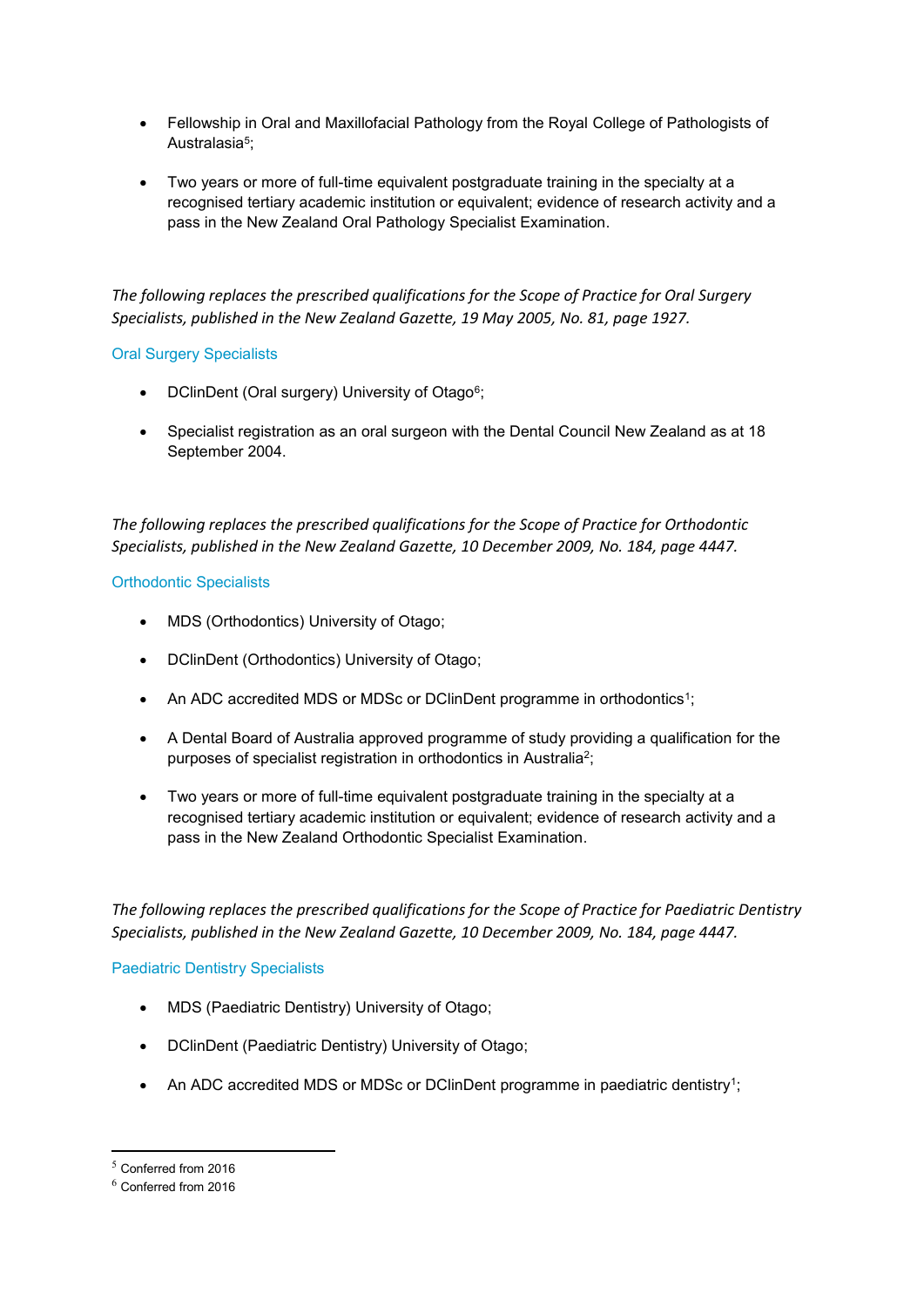- Fellowship in Oral and Maxillofacial Pathology from the Royal College of Pathologists of Australasia<sup>5</sup>;
- Two years or more of full-time equivalent postgraduate training in the specialty at a recognised tertiary academic institution or equivalent; evidence of research activity and a pass in the New Zealand Oral Pathology Specialist Examination.

*The following replaces the prescribed qualifications for the Scope of Practice for Oral Surgery Specialists, published in the New Zealand Gazette, 19 May 2005, No. 81, page 1927.*

#### Oral Surgery Specialists

- DClinDent (Oral surgery) University of Otago<sup>6</sup>;
- Specialist registration as an oral surgeon with the Dental Council New Zealand as at 18 September 2004.

*The following replaces the prescribed qualifications for the Scope of Practice for Orthodontic Specialists, published in the New Zealand Gazette, 10 December 2009, No. 184, page 4447.*

## Orthodontic Specialists

- MDS (Orthodontics) University of Otago;
- DClinDent (Orthodontics) University of Otago;
- An ADC accredited MDS or MDSc or DClinDent programme in orthodontics<sup>1</sup>;
- A Dental Board of Australia approved programme of study providing a qualification for the purposes of specialist registration in orthodontics in Australia<sup>2</sup>;
- Two years or more of full-time equivalent postgraduate training in the specialty at a recognised tertiary academic institution or equivalent; evidence of research activity and a pass in the New Zealand Orthodontic Specialist Examination.

*The following replaces the prescribed qualifications for the Scope of Practice for Paediatric Dentistry Specialists, published in the New Zealand Gazette, 10 December 2009, No. 184, page 4447.*

## Paediatric Dentistry Specialists

- MDS (Paediatric Dentistry) University of Otago;
- DClinDent (Paediatric Dentistry) University of Otago;
- An ADC accredited MDS or MDSc or DClinDent programme in paediatric dentistry<sup>1</sup>;

 $<sup>5</sup>$  Conferred from 2016</sup>

<sup>6</sup> Conferred from 2016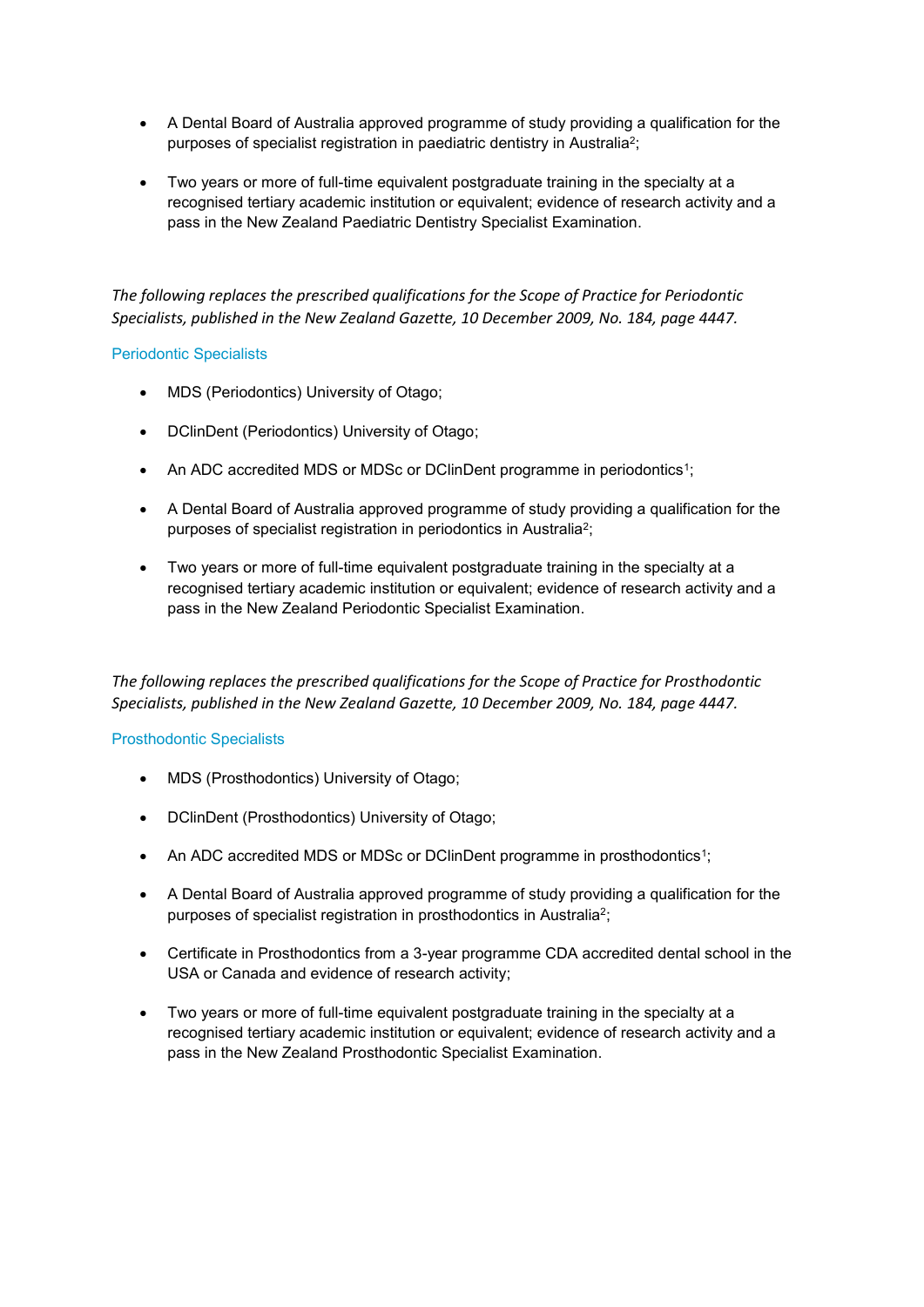- A Dental Board of Australia approved programme of study providing a qualification for the purposes of specialist registration in paediatric dentistry in Australia<sup>2</sup>;
- Two years or more of full-time equivalent postgraduate training in the specialty at a recognised tertiary academic institution or equivalent; evidence of research activity and a pass in the New Zealand Paediatric Dentistry Specialist Examination.

*The following replaces the prescribed qualifications for the Scope of Practice for Periodontic Specialists, published in the New Zealand Gazette, 10 December 2009, No. 184, page 4447.*

#### Periodontic Specialists

- MDS (Periodontics) University of Otago;
- DClinDent (Periodontics) University of Otago;
- An ADC accredited MDS or MDSc or DClinDent programme in periodontics<sup>1</sup>;
- A Dental Board of Australia approved programme of study providing a qualification for the purposes of specialist registration in periodontics in Australia<sup>2</sup>;
- Two years or more of full-time equivalent postgraduate training in the specialty at a recognised tertiary academic institution or equivalent; evidence of research activity and a pass in the New Zealand Periodontic Specialist Examination.

*The following replaces the prescribed qualifications for the Scope of Practice for Prosthodontic Specialists, published in the New Zealand Gazette, 10 December 2009, No. 184, page 4447.*

## Prosthodontic Specialists

- MDS (Prosthodontics) University of Otago;
- DClinDent (Prosthodontics) University of Otago;
- An ADC accredited MDS or MDSc or DClinDent programme in prosthodontics<sup>1</sup>;
- A Dental Board of Australia approved programme of study providing a qualification for the purposes of specialist registration in prosthodontics in Australia<sup>2</sup>;
- Certificate in Prosthodontics from a 3-year programme CDA accredited dental school in the USA or Canada and evidence of research activity;
- Two years or more of full-time equivalent postgraduate training in the specialty at a recognised tertiary academic institution or equivalent; evidence of research activity and a pass in the New Zealand Prosthodontic Specialist Examination.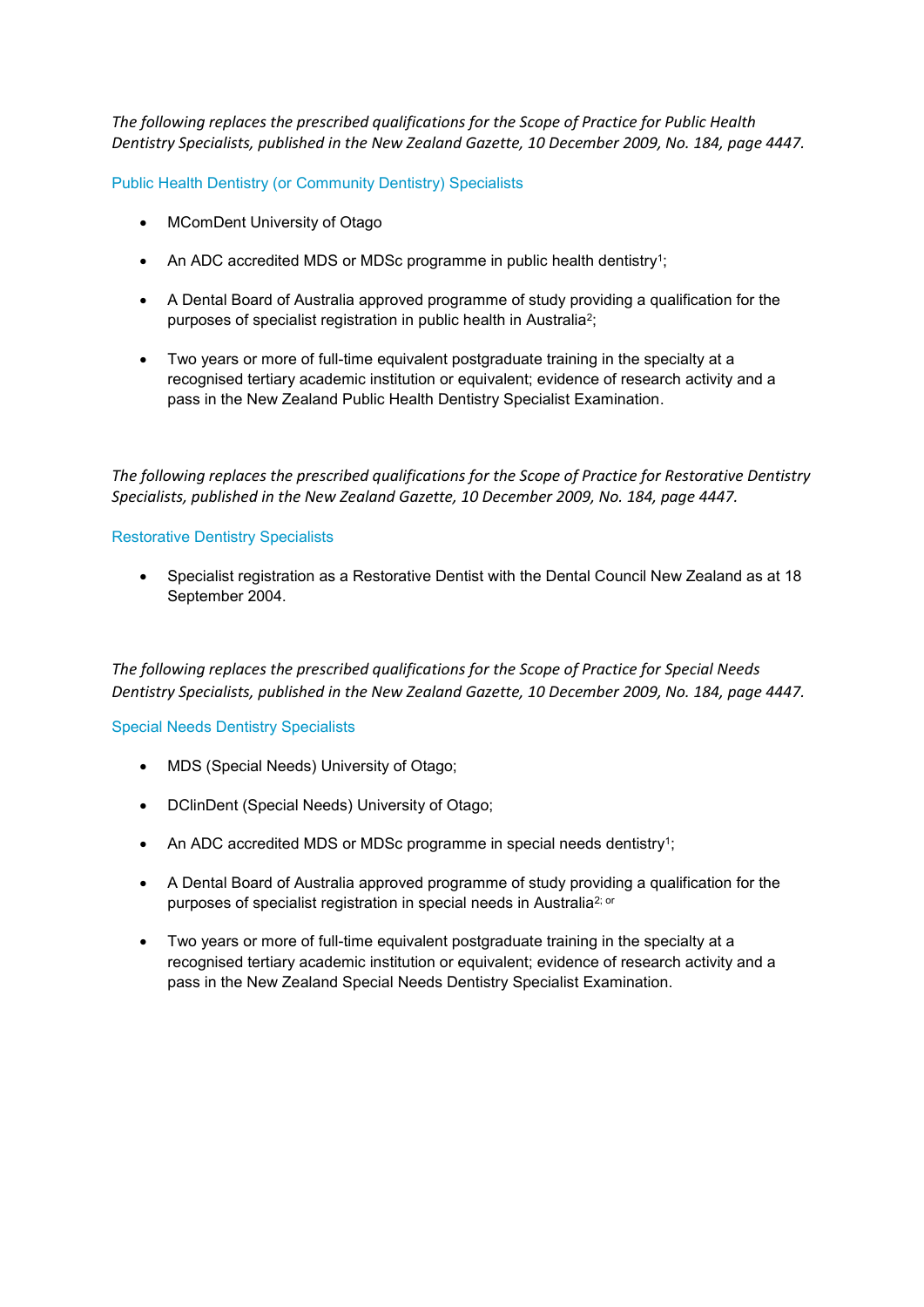*The following replaces the prescribed qualifications for the Scope of Practice for Public Health Dentistry Specialists, published in the New Zealand Gazette, 10 December 2009, No. 184, page 4447.*

Public Health Dentistry (or Community Dentistry) Specialists

- MComDent University of Otago
- An ADC accredited MDS or MDSc programme in public health dentistry<sup>1</sup>;
- A Dental Board of Australia approved programme of study providing a qualification for the purposes of specialist registration in public health in Australia<sup>2</sup>;
- Two years or more of full-time equivalent postgraduate training in the specialty at a recognised tertiary academic institution or equivalent; evidence of research activity and a pass in the New Zealand Public Health Dentistry Specialist Examination.

*The following replaces the prescribed qualifications for the Scope of Practice for Restorative Dentistry Specialists, published in the New Zealand Gazette, 10 December 2009, No. 184, page 4447.*

#### Restorative Dentistry Specialists

 Specialist registration as a Restorative Dentist with the Dental Council New Zealand as at 18 September 2004.

*The following replaces the prescribed qualifications for the Scope of Practice for Special Needs Dentistry Specialists, published in the New Zealand Gazette, 10 December 2009, No. 184, page 4447.*

#### Special Needs Dentistry Specialists

- MDS (Special Needs) University of Otago;
- DClinDent (Special Needs) University of Otago;
- An ADC accredited MDS or MDSc programme in special needs dentistry<sup>1</sup>;
- A Dental Board of Australia approved programme of study providing a qualification for the purposes of specialist registration in special needs in Australia<sup>2; or</sup>
- Two years or more of full-time equivalent postgraduate training in the specialty at a recognised tertiary academic institution or equivalent; evidence of research activity and a pass in the New Zealand Special Needs Dentistry Specialist Examination.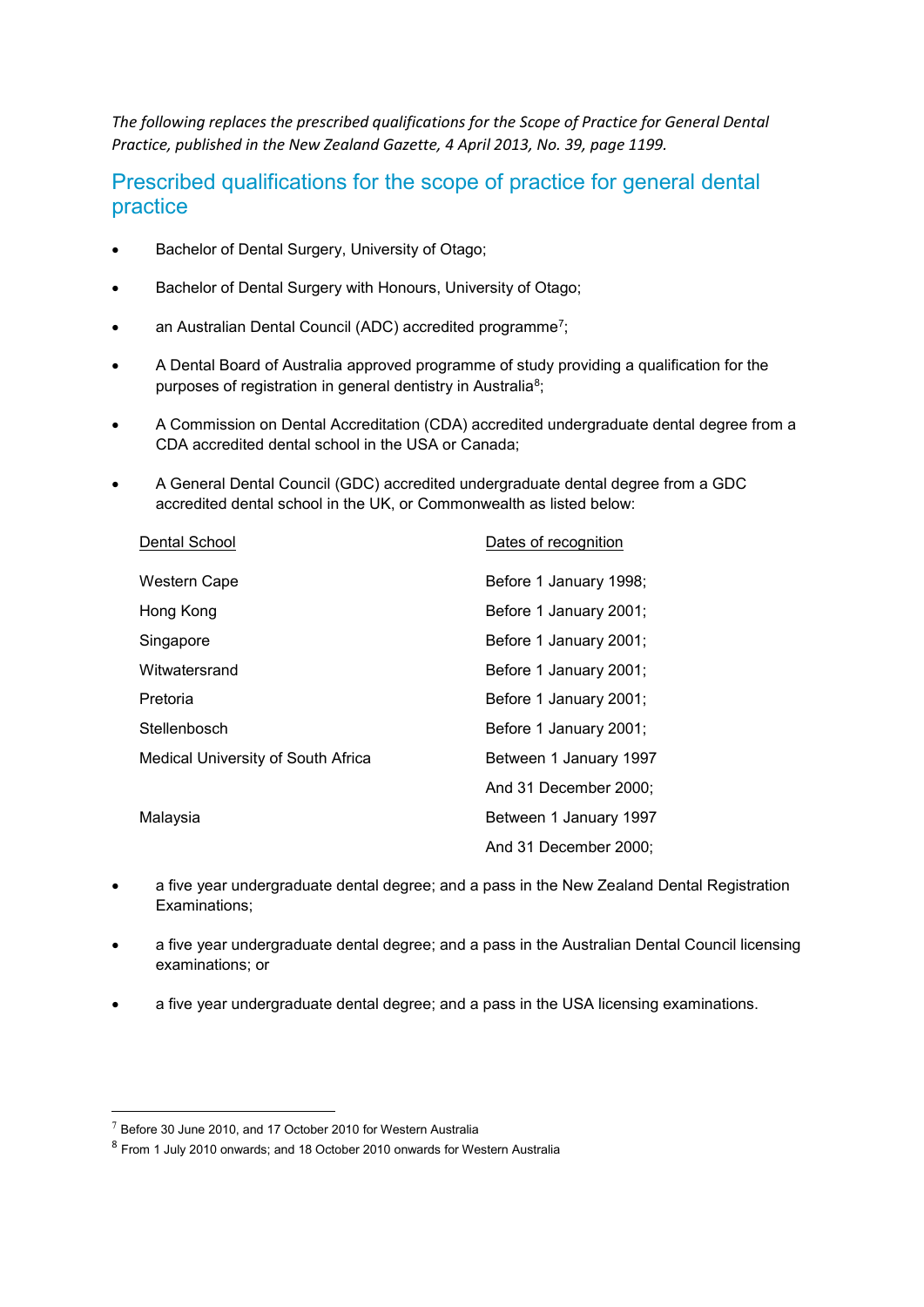*The following replaces the prescribed qualifications for the Scope of Practice for General Dental Practice, published in the New Zealand Gazette, 4 April 2013, No. 39, page 1199.*

## Prescribed qualifications for the scope of practice for general dental practice

- Bachelor of Dental Surgery, University of Otago;
- Bachelor of Dental Surgery with Honours, University of Otago;
- an Australian Dental Council (ADC) accredited programme<sup>7</sup>;
- A Dental Board of Australia approved programme of study providing a qualification for the purposes of registration in general dentistry in Australia<sup>8</sup>;
- A Commission on Dental Accreditation (CDA) accredited undergraduate dental degree from a CDA accredited dental school in the USA or Canada;
- A General Dental Council (GDC) accredited undergraduate dental degree from a GDC accredited dental school in the UK, or Commonwealth as listed below:

| Dental School                             | Dates of recognition   |
|-------------------------------------------|------------------------|
| Western Cape                              | Before 1 January 1998; |
| Hong Kong                                 | Before 1 January 2001; |
| Singapore                                 | Before 1 January 2001; |
| Witwatersrand                             | Before 1 January 2001; |
| Pretoria                                  | Before 1 January 2001; |
| Stellenbosch                              | Before 1 January 2001; |
| <b>Medical University of South Africa</b> | Between 1 January 1997 |
|                                           | And 31 December 2000:  |
| Malaysia                                  | Between 1 January 1997 |
|                                           | And 31 December 2000;  |

- a five year undergraduate dental degree; and a pass in the New Zealand Dental Registration Examinations;
- a five year undergraduate dental degree; and a pass in the Australian Dental Council licensing examinations; or
- a five year undergraduate dental degree; and a pass in the USA licensing examinations.

 $7$  Before 30 June 2010, and 17 October 2010 for Western Australia

<sup>&</sup>lt;sup>8</sup> From 1 July 2010 onwards; and 18 October 2010 onwards for Western Australia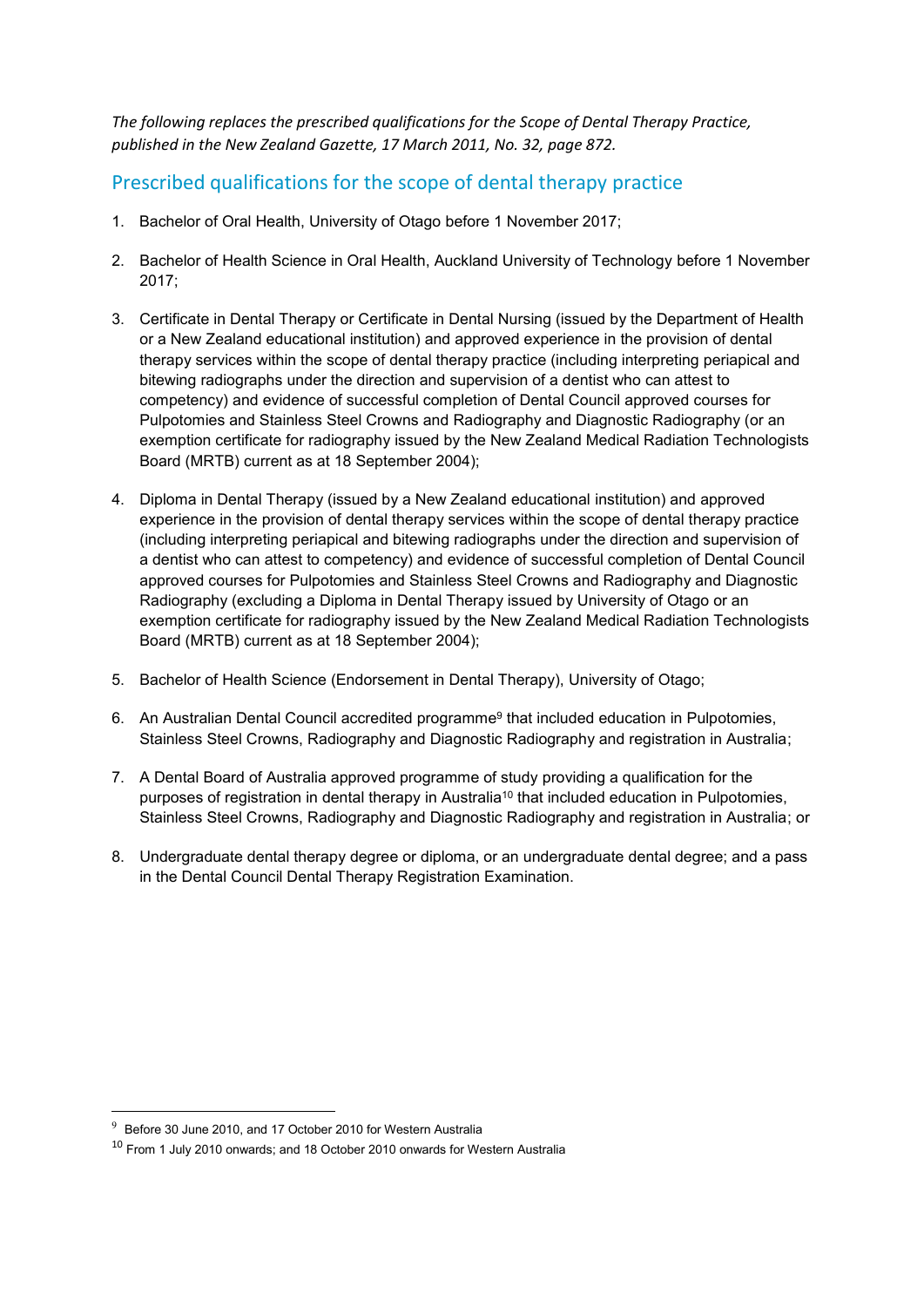*The following replaces the prescribed qualifications for the Scope of Dental Therapy Practice, published in the New Zealand Gazette, 17 March 2011, No. 32, page 872.*

## Prescribed qualifications for the scope of dental therapy practice

- 1. Bachelor of Oral Health, University of Otago before 1 November 2017;
- 2. Bachelor of Health Science in Oral Health, Auckland University of Technology before 1 November 2017;
- 3. Certificate in Dental Therapy or Certificate in Dental Nursing (issued by the Department of Health or a New Zealand educational institution) and approved experience in the provision of dental therapy services within the scope of dental therapy practice (including interpreting periapical and bitewing radiographs under the direction and supervision of a dentist who can attest to competency) and evidence of successful completion of Dental Council approved courses for Pulpotomies and Stainless Steel Crowns and Radiography and Diagnostic Radiography (or an exemption certificate for radiography issued by the New Zealand Medical Radiation Technologists Board (MRTB) current as at 18 September 2004);
- 4. Diploma in Dental Therapy (issued by a New Zealand educational institution) and approved experience in the provision of dental therapy services within the scope of dental therapy practice (including interpreting periapical and bitewing radiographs under the direction and supervision of a dentist who can attest to competency) and evidence of successful completion of Dental Council approved courses for Pulpotomies and Stainless Steel Crowns and Radiography and Diagnostic Radiography (excluding a Diploma in Dental Therapy issued by University of Otago or an exemption certificate for radiography issued by the New Zealand Medical Radiation Technologists Board (MRTB) current as at 18 September 2004);
- 5. Bachelor of Health Science (Endorsement in Dental Therapy), University of Otago;
- 6. An Australian Dental Council accredited programme<sup>9</sup> that included education in Pulpotomies, Stainless Steel Crowns, Radiography and Diagnostic Radiography and registration in Australia;
- 7. A Dental Board of Australia approved programme of study providing a qualification for the purposes of registration in dental therapy in Australia<sup>10</sup> that included education in Pulpotomies, Stainless Steel Crowns, Radiography and Diagnostic Radiography and registration in Australia; or
- 8. Undergraduate dental therapy degree or diploma, or an undergraduate dental degree; and a pass in the Dental Council Dental Therapy Registration Examination.

 $9\textdegree$  Before 30 June 2010, and 17 October 2010 for Western Australia

<sup>10</sup> From 1 July 2010 onwards; and 18 October 2010 onwards for Western Australia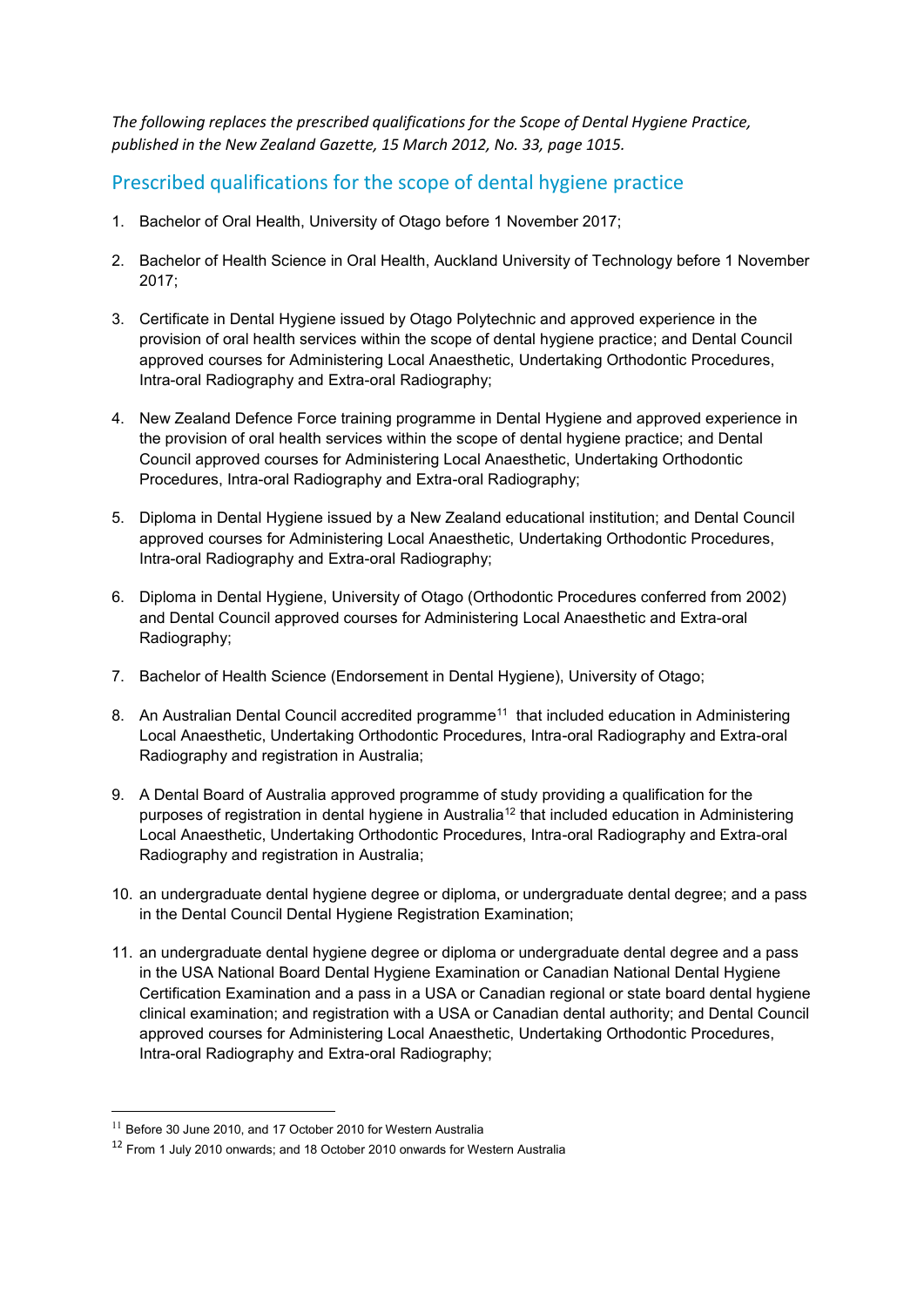*The following replaces the prescribed qualifications for the Scope of Dental Hygiene Practice, published in the New Zealand Gazette, 15 March 2012, No. 33, page 1015.*

## Prescribed qualifications for the scope of dental hygiene practice

- 1. Bachelor of Oral Health, University of Otago before 1 November 2017;
- 2. Bachelor of Health Science in Oral Health, Auckland University of Technology before 1 November 2017;
- 3. Certificate in Dental Hygiene issued by Otago Polytechnic and approved experience in the provision of oral health services within the scope of dental hygiene practice; and Dental Council approved courses for Administering Local Anaesthetic, Undertaking Orthodontic Procedures, Intra-oral Radiography and Extra-oral Radiography;
- 4. New Zealand Defence Force training programme in Dental Hygiene and approved experience in the provision of oral health services within the scope of dental hygiene practice; and Dental Council approved courses for Administering Local Anaesthetic, Undertaking Orthodontic Procedures, Intra-oral Radiography and Extra-oral Radiography;
- 5. Diploma in Dental Hygiene issued by a New Zealand educational institution; and Dental Council approved courses for Administering Local Anaesthetic, Undertaking Orthodontic Procedures, Intra-oral Radiography and Extra-oral Radiography;
- 6. Diploma in Dental Hygiene, University of Otago (Orthodontic Procedures conferred from 2002) and Dental Council approved courses for Administering Local Anaesthetic and Extra-oral Radiography;
- 7. Bachelor of Health Science (Endorsement in Dental Hygiene), University of Otago;
- 8. An Australian Dental Council accredited programme<sup>11</sup> that included education in Administering Local Anaesthetic, Undertaking Orthodontic Procedures, Intra-oral Radiography and Extra-oral Radiography and registration in Australia;
- 9. A Dental Board of Australia approved programme of study providing a qualification for the purposes of registration in dental hygiene in Australia<sup>12</sup> that included education in Administering Local Anaesthetic, Undertaking Orthodontic Procedures, Intra-oral Radiography and Extra-oral Radiography and registration in Australia;
- 10. an undergraduate dental hygiene degree or diploma, or undergraduate dental degree; and a pass in the Dental Council Dental Hygiene Registration Examination;
- 11. an undergraduate dental hygiene degree or diploma or undergraduate dental degree and a pass in the USA National Board Dental Hygiene Examination or Canadian National Dental Hygiene Certification Examination and a pass in a USA or Canadian regional or state board dental hygiene clinical examination; and registration with a USA or Canadian dental authority; and Dental Council approved courses for Administering Local Anaesthetic, Undertaking Orthodontic Procedures, Intra-oral Radiography and Extra-oral Radiography;

 $11$  Before 30 June 2010, and 17 October 2010 for Western Australia

<sup>&</sup>lt;sup>12</sup> From 1 July 2010 onwards; and 18 October 2010 onwards for Western Australia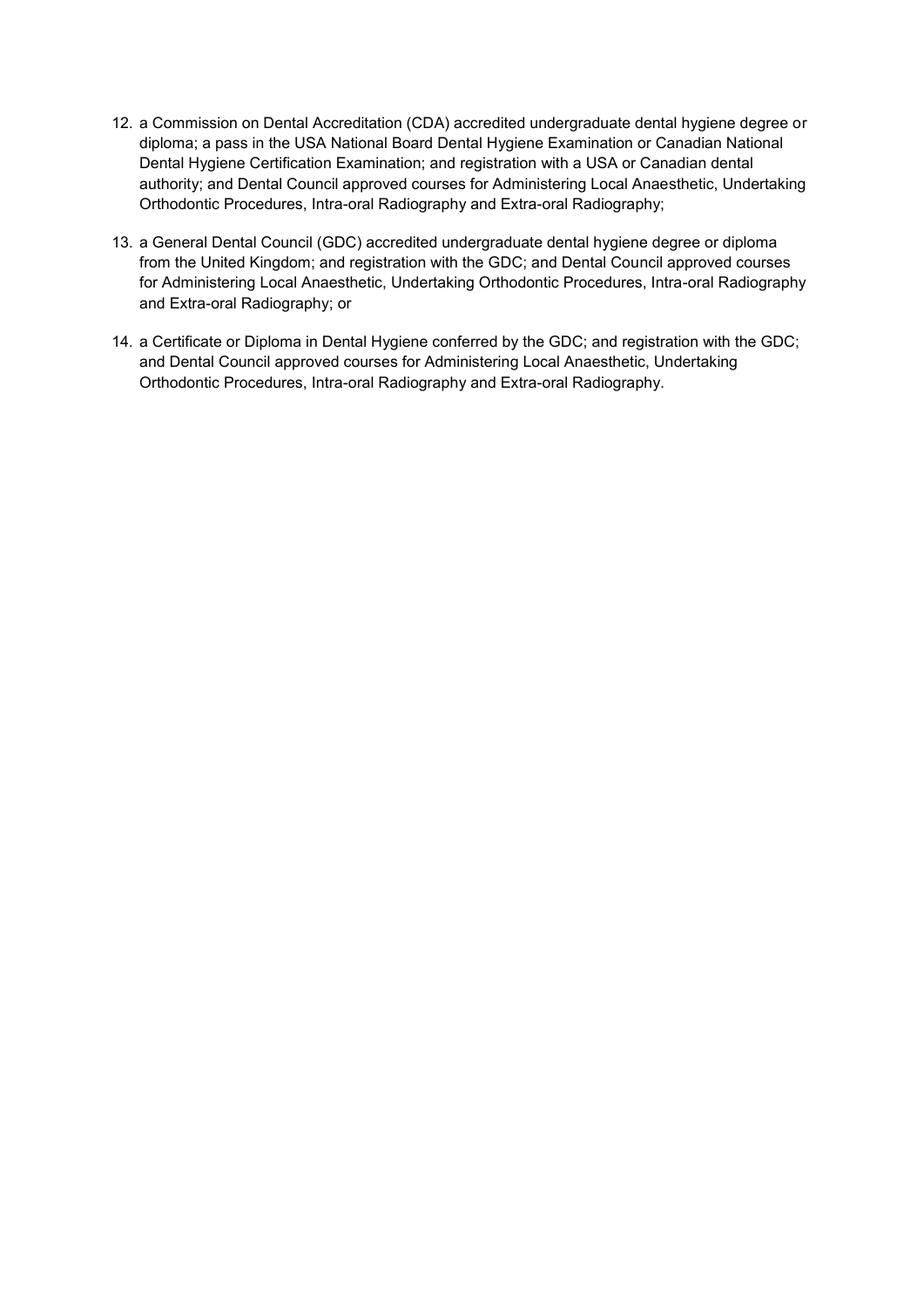- 12. a Commission on Dental Accreditation (CDA) accredited undergraduate dental hygiene degree or diploma; a pass in the USA National Board Dental Hygiene Examination or Canadian National Dental Hygiene Certification Examination; and registration with a USA or Canadian dental authority; and Dental Council approved courses for Administering Local Anaesthetic, Undertaking Orthodontic Procedures, Intra-oral Radiography and Extra-oral Radiography;
- 13. a General Dental Council (GDC) accredited undergraduate dental hygiene degree or diploma from the United Kingdom; and registration with the GDC; and Dental Council approved courses for Administering Local Anaesthetic, Undertaking Orthodontic Procedures, Intra-oral Radiography and Extra-oral Radiography; or
- 14. a Certificate or Diploma in Dental Hygiene conferred by the GDC; and registration with the GDC; and Dental Council approved courses for Administering Local Anaesthetic, Undertaking Orthodontic Procedures, Intra-oral Radiography and Extra-oral Radiography.